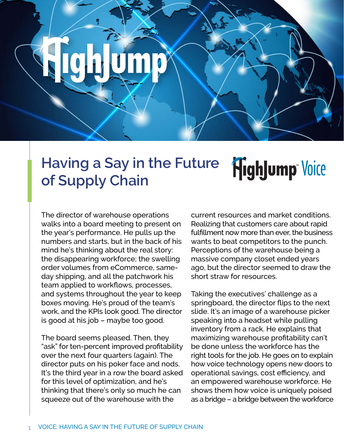#### **Having a Say in the Future HighJump** Voice **of Supply Chain**

The director of warehouse operations walks into a board meeting to present on the year's performance. He pulls up the numbers and starts, but in the back of his mind he's thinking about the real story: the disappearing workforce; the swelling order volumes from eCommerce, sameday shipping, and all the patchwork his team applied to workflows, processes, and systems throughout the year to keep boxes moving. He's proud of the team's work, and the KPIs look good. The director is good at his job – maybe too good.

The board seems pleased. Then, they "ask" for ten-percent improved profitability over the next four quarters (again). The director puts on his poker face and nods. It's the third year in a row the board asked for this level of optimization, and he's thinking that there's only so much he can squeeze out of the warehouse with the

current resources and market conditions. Realizing that customers care about rapid fulfillment now more than ever, the business wants to beat competitors to the punch. Perceptions of the warehouse being a massive company closet ended years ago, but the director seemed to draw the short straw for resources.

Taking the executives' challenge as a springboard, the director flips to the next slide. It's an image of a warehouse picker speaking into a headset while pulling inventory from a rack. He explains that maximizing warehouse profitability can't be done unless the workforce has the right tools for the job. He goes on to explain how voice technology opens new doors to operational savings, cost efficiency, and an empowered warehouse workforce. He shows them how voice is uniquely poised as a bridge – a bridge between the workforce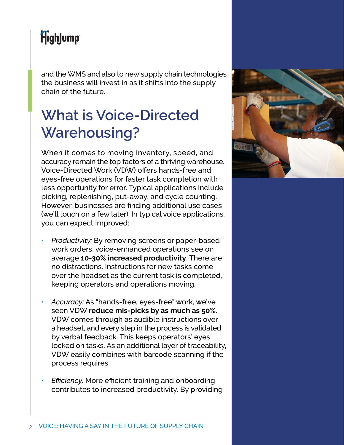and the WMS and also to new supply chain technologies the business will invest in as it shifts into the supply chain of the future.

## **What is Voice-Directed Warehousing?**

When it comes to moving inventory, speed, and accuracy remain the top factors of a thriving warehouse. Voice-Directed Work (VDW) offers hands-free and eyes-free operations for faster task completion with less opportunity for error. Typical applications include picking, replenishing, put-away, and cycle counting. However, businesses are finding additional use cases (we'll touch on a few later). In typical voice applications, you can expect improved:

- *• Productivity:* By removing screens or paper-based work orders, voice-enhanced operations see on average **10-30% increased productivity**. There are no distractions. Instructions for new tasks come over the headset as the current task is completed, keeping operators and operations moving.
- *• Accuracy:* As "hands-free, eyes-free" work, we've seen VDW **reduce mis-picks by as much as 50%**. VDW comes through as audible instructions over a headset, and every step in the process is validated by verbal feedback. This keeps operators' eyes locked on tasks. As an additional layer of traceability, VDW easily combines with barcode scanning if the process requires.
- *• Efficiency:* More efficient training and onboarding contributes to increased productivity. By providing

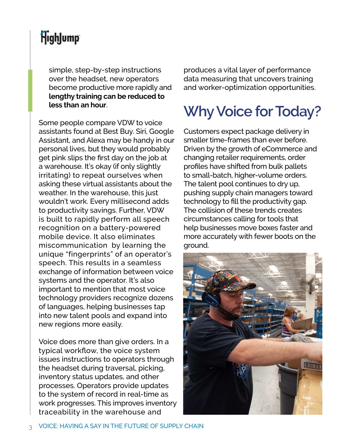simple, step-by-step instructions over the headset, new operators become productive more rapidly and **lengthy training can be reduced to less than an hour**.

Some people compare VDW to voice assistants found at Best Buy. Siri, Google Assistant, and Alexa may be handy in our personal lives, but they would probably get pink slips the first day on the job at a warehouse. It's okay (if only slightly irritating) to repeat ourselves when asking these virtual assistants about the weather. In the warehouse, this just wouldn't work. Every millisecond adds to productivity savings. Further, VDW is built to rapidly perform all speech recognition on a battery-powered mobile device. It also eliminates miscommunication by learning the unique "fingerprints" of an operator's speech. This results in a seamless exchange of information between voice systems and the operator. It's also important to mention that most voice technology providers recognize dozens of languages, helping businesses tap into new talent pools and expand into new regions more easily.

Voice does more than give orders. In a typical workflow, the voice system issues instructions to operators through the headset during traversal, picking, inventory status updates, and other processes. Operators provide updates to the system of record in real-time as work progresses. This improves inventory traceability in the warehouse and

produces a vital layer of performance data measuring that uncovers training and worker-optimization opportunities.

# **Why Voice for Today?**

Customers expect package delivery in smaller time-frames than ever before. Driven by the growth of eCommerce and changing retailer requirements, order profiles have shifted from bulk pallets to small-batch, higher-volume orders. The talent pool continues to dry up, pushing supply chain managers toward technology to fill the productivity gap. The collision of these trends creates circumstances calling for tools that help businesses move boxes faster and more accurately with fewer boots on the ground.

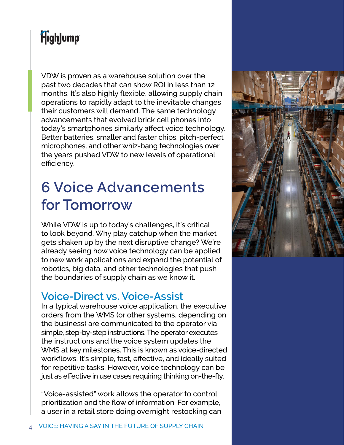VDW is proven as a warehouse solution over the past two decades that can show ROI in less than 12 months. It's also highly flexible, allowing supply chain operations to rapidly adapt to the inevitable changes their customers will demand. The same technology advancements that evolved brick cell phones into today's smartphones similarly affect voice technology. Better batteries, smaller and faster chips, pitch-perfect microphones, and other whiz-bang technologies over the years pushed VDW to new levels of operational efficiency.

# **6 Voice Advancements for Tomorrow**

While VDW is up to today's challenges, it's critical to look beyond. Why play catchup when the market gets shaken up by the next disruptive change? We're already seeing how voice technology can be applied to new work applications and expand the potential of robotics, big data, and other technologies that push the boundaries of supply chain as we know it.

#### **Voice-Direct vs. Voice-Assist**

In a typical warehouse voice application, the executive orders from the WMS (or other systems, depending on the business) are communicated to the operator via simple, step-by-step instructions. The operator executes the instructions and the voice system updates the WMS at key milestones. This is known as voice-directed workflows. It's simple, fast, effective, and ideally suited for repetitive tasks. However, voice technology can be just as effective in use cases requiring thinking on-the-fly.

"Voice-assisted" work allows the operator to control prioritization and the flow of information. For example, a user in a retail store doing overnight restocking can

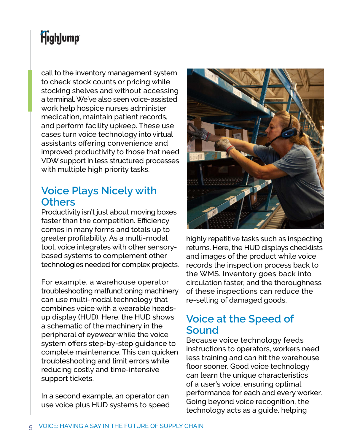call to the inventory management system to check stock counts or pricing while stocking shelves and without accessing a terminal. We've also seen voice-assisted work help hospice nurses administer medication, maintain patient records, and perform facility upkeep. These use cases turn voice technology into virtual assistants offering convenience and improved productivity to those that need VDW support in less structured processes with multiple high priority tasks.

#### **Voice Plays Nicely with Others**

Productivity isn't just about moving boxes faster than the competition. Efficiency comes in many forms and totals up to greater profitability. As a multi-modal tool, voice integrates with other sensorybased systems to complement other technologies needed for complex projects.

For example, a warehouse operator troubleshooting malfunctioning machinery can use multi-modal technology that combines voice with a wearable headsup display (HUD). Here, the HUD shows a schematic of the machinery in the peripheral of eyewear while the voice system offers step-by-step guidance to complete maintenance. This can quicken troubleshooting and limit errors while reducing costly and time-intensive support tickets.

In a second example, an operator can use voice plus HUD systems to speed



highly repetitive tasks such as inspecting returns. Here, the HUD displays checklists and images of the product while voice records the inspection process back to the WMS. Inventory goes back into circulation faster, and the thoroughness of these inspections can reduce the re-selling of damaged goods.

#### **Voice at the Speed of Sound**

Because voice technology feeds instructions to operators, workers need less training and can hit the warehouse floor sooner. Good voice technology can learn the unique characteristics of a user's voice, ensuring optimal performance for each and every worker. Going beyond voice recognition, the technology acts as a guide, helping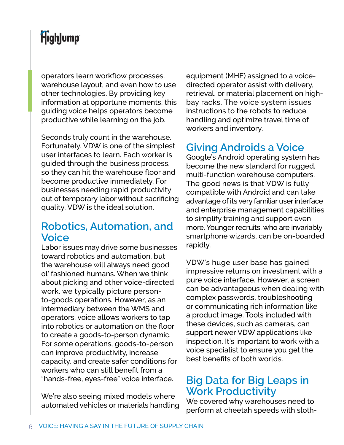operators learn workflow processes, warehouse layout, and even how to use other technologies. By providing key information at opportune moments, this guiding voice helps operators become productive while learning on the job.

Seconds truly count in the warehouse. Fortunately, VDW is one of the simplest user interfaces to learn. Each worker is guided through the business process, so they can hit the warehouse floor and become productive immediately. For businesses needing rapid productivity out of temporary labor without sacrificing quality, VDW is the ideal solution.

#### **Robotics, Automation, and Voice**

Labor issues may drive some businesses toward robotics and automation, but the warehouse will always need good ol' fashioned humans. When we think about picking and other voice-directed work, we typically picture personto-goods operations. However, as an intermediary between the WMS and operators, voice allows workers to tap into robotics or automation on the floor to create a goods-to-person dynamic. For some operations, goods-to-person can improve productivity, increase capacity, and create safer conditions for workers who can still benefit from a "hands-free, eyes-free" voice interface.

We're also seeing mixed models where automated vehicles or materials handling equipment (MHE) assigned to a voicedirected operator assist with delivery, retrieval, or material placement on highbay racks. The voice system issues instructions to the robots to reduce handling and optimize travel time of workers and inventory.

#### **Giving Androids a Voice**

Google's Android operating system has become the new standard for rugged, multi-function warehouse computers. The good news is that VDW is fully compatible with Android and can take advantage of its very familiar user interface and enterprise management capabilities to simplify training and support even more. Younger recruits, who are invariably smartphone wizards, can be on-boarded rapidly.

VDW's huge user base has gained impressive returns on investment with a pure voice interface. However, a screen can be advantageous when dealing with complex passwords, troubleshooting or communicating rich information like a product image. Tools included with these devices, such as cameras, can support newer VDW applications like inspection. It's important to work with a voice specialist to ensure you get the best benefits of both worlds.

#### **Big Data for Big Leaps in Work Productivity**

We covered why warehouses need to perform at cheetah speeds with sloth-